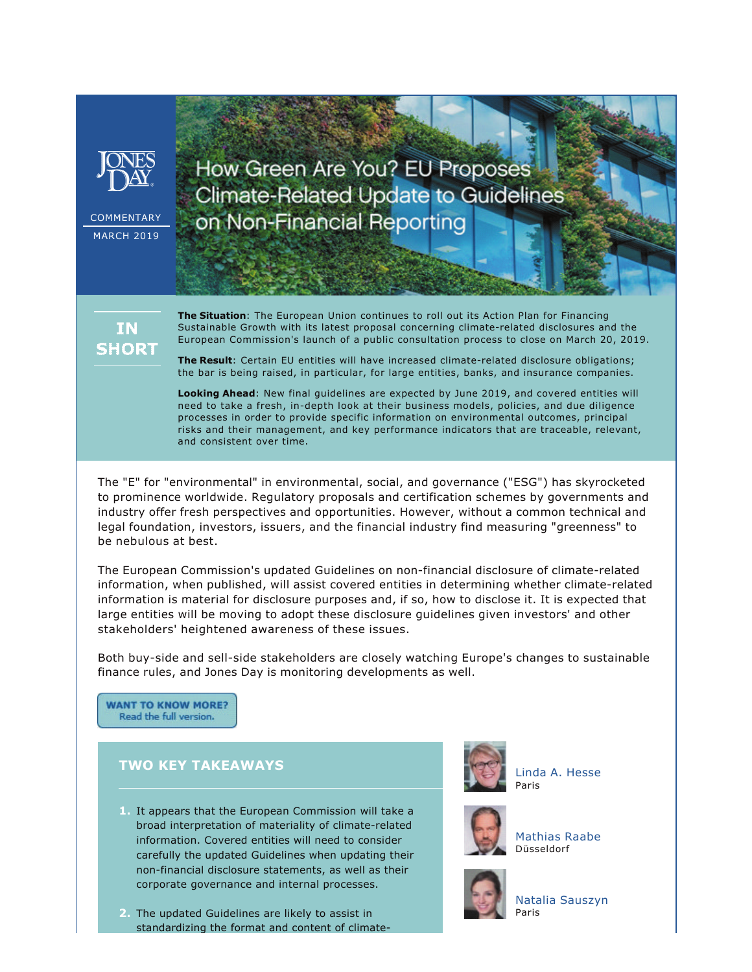

COMMENTARY MARCH 2019

How Green Are You? EU Proposes **Climate-Related Update to Guidelines** on Non-Financial Reporting



**The Situation**: The European Union continues to roll out its Action Plan for Financing Sustainable Growth with its latest proposal concerning climate-related disclosures and the European Commission's launch of a public consultation process to close on March 20, 2019.

**The Result**: Certain EU entities will have increased climate-related disclosure obligations; the bar is being raised, in particular, for large entities, banks, and insurance companies.

**Looking Ahead**: New final guidelines are expected by June 2019, and covered entities will need to take a fresh, in-depth look at their business models, policies, and due diligence processes in order to provide specific information on environmental outcomes, principal risks and their management, and key performance indicators that are traceable, relevant, and consistent over time.

The "E" for "environmental" in environmental, social, and governance ("ESG") has skyrocketed to prominence worldwide. Regulatory proposals and certification schemes by governments and industry offer fresh perspectives and opportunities. However, without a common technical and legal foundation, investors, issuers, and the financial industry find measuring "greenness" to be nebulous at best.

The European Commission's updated Guidelines on non-financial disclosure of climate-related information, when published, will assist covered entities in determining whether climate-related information is material for disclosure purposes and, if so, how to disclose it. It is expected that large entities will be moving to adopt these disclosure guidelines given investors' and other stakeholders' heightened awareness of these issues.

Both buy-side and sell-side stakeholders are closely watching Europe's changes to sustainable finance rules, and Jones Day is monitoring developments as well.

**WANT TO KNOW MORE?** Read the full version.

## **TWO KEY TAKEAWAYS**

- **1.** It appears that the European Commission will take a broad interpretation of materiality of climate-related information. Covered entities will need to consider carefully the updated Guidelines when updating their non-financial disclosure statements, as well as their corporate governance and internal processes.
- **2.** The updated Guidelines are likely to assist in standardizing the format and content of climate-



[Linda A. Hesse](http://www.jonesday.com/lhesse) Paris



[Mathias Raabe](http://www.jonesday.com/mraabe) Düsseldorf



[Natalia Sauszyn](http://www.jonesday.com/nsauszyn) Paris